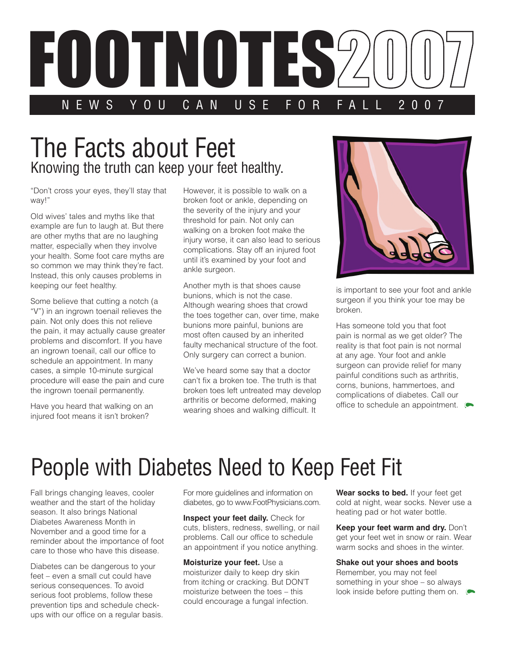

## The Facts about Feet Knowing the truth can keep your feet healthy.

"Don't cross your eyes, they'll stay that way!"

Old wives' tales and myths like that example are fun to laugh at. But there are other myths that are no laughing matter, especially when they involve your health. Some foot care myths are so common we may think they're fact. Instead, this only causes problems in keeping our feet healthy.

Some believe that cutting a notch (a "V") in an ingrown toenail relieves the pain. Not only does this not relieve the pain, it may actually cause greater problems and discomfort. If you have an ingrown toenail, call our office to schedule an appointment. In many cases, a simple 10-minute surgical procedure will ease the pain and cure the ingrown toenail permanently.

Have you heard that walking on an injured foot means it isn't broken?

However, it is possible to walk on a broken foot or ankle, depending on the severity of the injury and your threshold for pain. Not only can walking on a broken foot make the injury worse, it can also lead to serious complications. Stay off an injured foot until it's examined by your foot and ankle surgeon.

Another myth is that shoes cause bunions, which is not the case. Although wearing shoes that crowd the toes together can, over time, make bunions more painful, bunions are most often caused by an inherited faulty mechanical structure of the foot. Only surgery can correct a bunion.

We've heard some say that a doctor can't fix a broken toe. The truth is that broken toes left untreated may develop arthritis or become deformed, making wearing shoes and walking difficult. It



is important to see your foot and ankle surgeon if you think your toe may be broken.

Has someone told you that foot pain is normal as we get older? The reality is that foot pain is not normal at any age. Your foot and ankle surgeon can provide relief for many painful conditions such as arthritis, corns, bunions, hammertoes, and complications of diabetes. Call our office to schedule an appointment.

## People with Diabetes Need to Keep Feet Fit

Fall brings changing leaves, cooler weather and the start of the holiday season. It also brings National Diabetes Awareness Month in November and a good time for a reminder about the importance of foot care to those who have this disease.

Diabetes can be dangerous to your feet – even a small cut could have serious consequences. To avoid serious foot problems, follow these prevention tips and schedule checkups with our office on a regular basis. For more guidelines and information on diabetes, go to www.FootPhysicians.com.

**Inspect your feet daily.** Check for cuts, blisters, redness, swelling, or nail problems. Call our office to schedule an appointment if you notice anything.

**Moisturize your feet.** Use a moisturizer daily to keep dry skin from itching or cracking. But DON'T moisturize between the toes – this could encourage a fungal infection.

**Wear socks to bed.** If your feet get cold at night, wear socks. Never use a heating pad or hot water bottle.

**Keep your feet warm and dry. Don't** get your feet wet in snow or rain. Wear warm socks and shoes in the winter.

## **Shake out your shoes and boots**

Remember, you may not feel something in your shoe – so always look inside before putting them on.